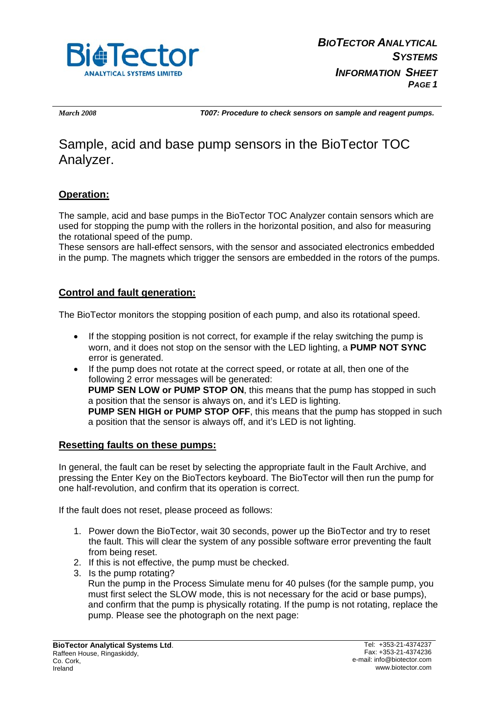

*March 2008 T007: Procedure to check sensors on sample and reagent pumps.* 

## Sample, acid and base pump sensors in the BioTector TOC Analyzer.

## **Operation:**

The sample, acid and base pumps in the BioTector TOC Analyzer contain sensors which are used for stopping the pump with the rollers in the horizontal position, and also for measuring the rotational speed of the pump.

These sensors are hall-effect sensors, with the sensor and associated electronics embedded in the pump. The magnets which trigger the sensors are embedded in the rotors of the pumps.

## **Control and fault generation:**

The BioTector monitors the stopping position of each pump, and also its rotational speed.

- If the stopping position is not correct, for example if the relay switching the pump is worn, and it does not stop on the sensor with the LED lighting, a **PUMP NOT SYNC** error is generated.
- If the pump does not rotate at the correct speed, or rotate at all, then one of the following 2 error messages will be generated: **PUMP SEN LOW or PUMP STOP ON**, this means that the pump has stopped in such a position that the sensor is always on, and it's LED is lighting. **PUMP SEN HIGH or PUMP STOP OFF**, this means that the pump has stopped in such a position that the sensor is always off, and it's LED is not lighting.

## **Resetting faults on these pumps:**

In general, the fault can be reset by selecting the appropriate fault in the Fault Archive, and pressing the Enter Key on the BioTectors keyboard. The BioTector will then run the pump for one half-revolution, and confirm that its operation is correct.

If the fault does not reset, please proceed as follows:

- 1. Power down the BioTector, wait 30 seconds, power up the BioTector and try to reset the fault. This will clear the system of any possible software error preventing the fault from being reset.
- 2. If this is not effective, the pump must be checked.
- 3. Is the pump rotating?

Run the pump in the Process Simulate menu for 40 pulses (for the sample pump, you must first select the SLOW mode, this is not necessary for the acid or base pumps), and confirm that the pump is physically rotating. If the pump is not rotating, replace the pump. Please see the photograph on the next page: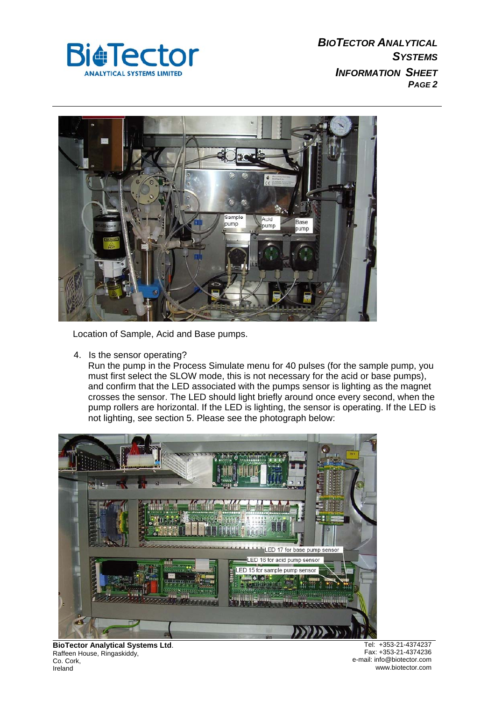



Location of Sample, Acid and Base pumps.

4. Is the sensor operating?

Run the pump in the Process Simulate menu for 40 pulses (for the sample pump, you must first select the SLOW mode, this is not necessary for the acid or base pumps), and confirm that the LED associated with the pumps sensor is lighting as the magnet crosses the sensor. The LED should light briefly around once every second, when the pump rollers are horizontal. If the LED is lighting, the sensor is operating. If the LED is not lighting, see section 5. Please see the photograph below:



**BioTector Analytical Systems Ltd**. Raffeen House, Ringaskiddy, Co. Cork, **Ireland** 

Tel: +353-21-4374237 Fax: +353-21-4374236 e-mail: info@biotector.com www.biotector.com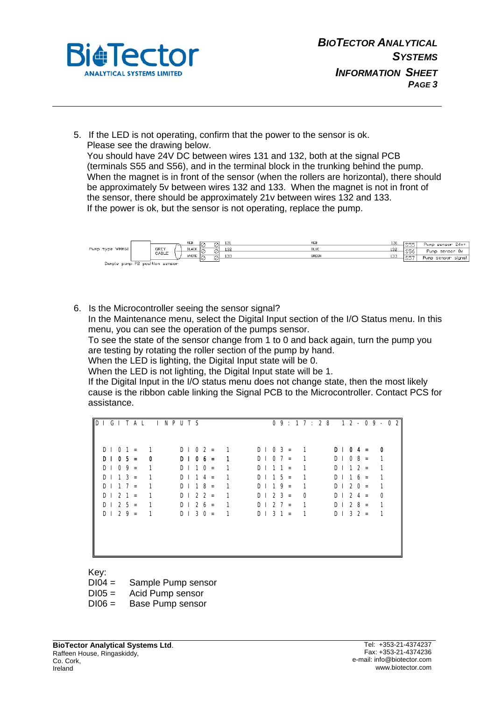

5. If the LED is not operating, confirm that the power to the sensor is ok. Please see the drawing below. You should have 24V DC between wires 131 and 132, both at the signal PCB (terminals S55 and S56), and in the terminal block in the trunking behind the pump. When the magnet is in front of the sensor (when the rollers are horizontal), there should be approximately 5v between wires 132 and 133. When the magnet is not in front of

the sensor, there should be approximately 21v between wires 132 and 133.

If the power is ok, but the sensor is not operating, replace the pump.



6. Is the Microcontroller seeing the sensor signal?

In the Maintenance menu, select the Digital Input section of the I/O Status menu. In this menu, you can see the operation of the pumps sensor.

To see the state of the sensor change from 1 to 0 and back again, turn the pump you are testing by rotating the roller section of the pump by hand.

When the LED is lighting, the Digital Input state will be 0.

When the LED is not lighting, the Digital Input state will be 1.

If the Digital Input in the I/O status menu does not change state, then the most likely cause is the ribbon cable linking the Signal PCB to the Microcontroller. Contact PCS for assistance.

D I G I T A L I N P U T S 0 9 : 1 7 : 2 8 1 2 - 0 9 - 0 2  $DIO 1 = 1$   $DIO 2 = 1$   $DIO 3 = 1$   $DIO 4 = 0$  $D$  | 0 5 = 0 0 | 0 6 = 1 0 | 0 7 = 1 0 | 0 8 = 1  $D \cup D9 = 1$   $D \cup 10 = 1$   $D \cup 11 = 1$   $D \cup 12 = 1$  $D$  | 1 3 = 1 D | 1 4 = 1 D | 1 5 = 1 D | 1 6 = 1  $D$  | 1 7 = 1 D | 1 8 = 1 D | 1 9 = 1 D | 2 0 = 1  $D$  | 2 1 = 1 | D | 2 2 = 1 | D | 2 3 = 0 | D | 2 4 = 0  $D$  | 2 5 = 1 D | 2 6 = 1 D | 2 7 = 1 D | 2 8 = 1  $D$  | 2 9 = 1 D | 3 0 = 1 D | 3 1 = 1 D | 3 2 = 1

Key:

DI04 = Sample Pump sensor

DI05 = Acid Pump sensor

DI06 = Base Pump sensor